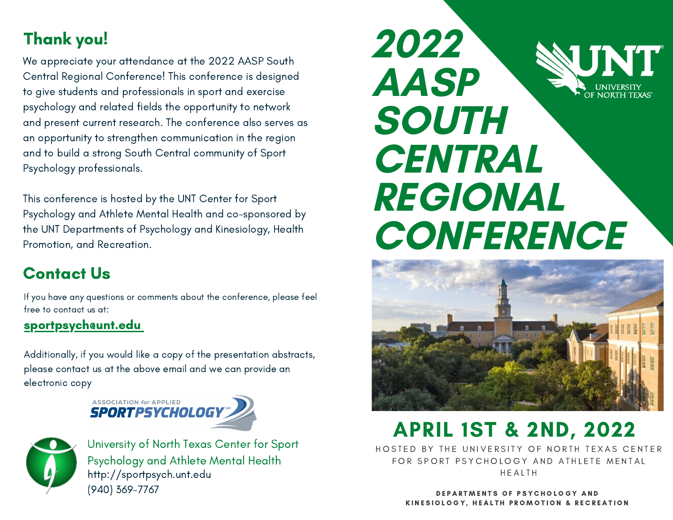### Thank you!

We appreciate your attendance at the 2022 AASP South Central Regional Conference! This conference is designed to give students and professionals in sport and exercise psychology and related fields the opportunity to network and present current research. The conference also serves as an opportunity to strengthen communication in the region and to build a strong South Central community of Sport Psychology professionals.

This conference is hosted by the UNT Center for Sport Psychology and Athlete Mental Health and co-sponsored by the UNT Departments of Psychology and Kinesiology, Health Promotion, and Recreation.

### Contact Us

If you have any questions or comments about the conference, please feel free to contact us at:

#### sportpsych@unt.edu

Additionally, if you would like a copy of the presentation abstracts, please contact us at the above email and we can provide an electronic copy





University of North Texas Center for Sport Psychology and Athlete Mental Health http://sportpsych.unt.edu (940) 369-7767





## APRIL 1ST & 2ND, 2022

HOSTED BY THE UNIVERSITY OF NORTH TEXAS CENTER FOR SPORT PSYCHOLOGY AND ATHLETE MENTAL **HFAITH** 

> DEPARTMENTS OF PSYCHOLOGY AND KINESIOLOGY, HEALTH PROMOTION & RECREATION